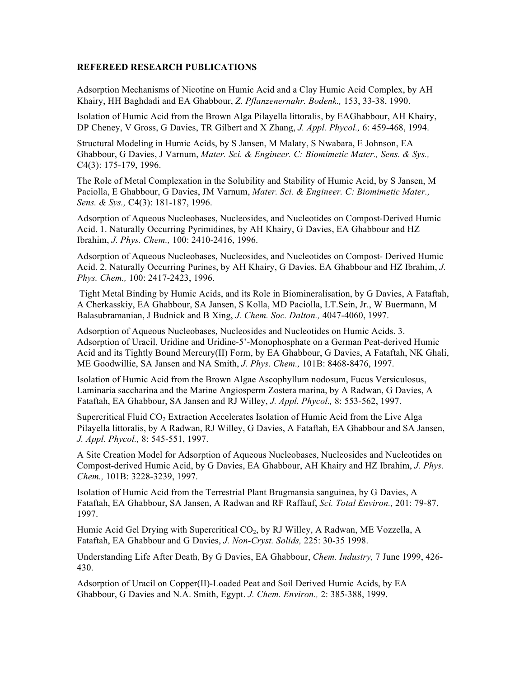## **REFEREED RESEARCH PUBLICATIONS**

Adsorption Mechanisms of Nicotine on Humic Acid and a Clay Humic Acid Complex, by AH Khairy, HH Baghdadi and EA Ghabbour, *Z. Pflanzenernahr. Bodenk.,* 153, 33-38, 1990.

Isolation of Humic Acid from the Brown Alga Pilayella littoralis, by EAGhabbour, AH Khairy, DP Cheney, V Gross, G Davies, TR Gilbert and X Zhang, *J. Appl. Phycol.,* 6: 459-468, 1994.

Structural Modeling in Humic Acids, by S Jansen, M Malaty, S Nwabara, E Johnson, EA Ghabbour, G Davies, J Varnum, *Mater. Sci. & Engineer. C: Biomimetic Mater., Sens. & Sys.,* C4(3): 175-179, 1996.

The Role of Metal Complexation in the Solubility and Stability of Humic Acid, by S Jansen, M Paciolla, E Ghabbour, G Davies, JM Varnum, *Mater. Sci. & Engineer. C: Biomimetic Mater., Sens. & Sys.,* C4(3): 181-187, 1996.

Adsorption of Aqueous Nucleobases, Nucleosides, and Nucleotides on Compost-Derived Humic Acid. 1. Naturally Occurring Pyrimidines, by AH Khairy, G Davies, EA Ghabbour and HZ Ibrahim, *J. Phys. Chem.,* 100: 2410-2416, 1996.

Adsorption of Aqueous Nucleobases, Nucleosides, and Nucleotides on Compost- Derived Humic Acid. 2. Naturally Occurring Purines, by AH Khairy, G Davies, EA Ghabbour and HZ Ibrahim, *J. Phys. Chem.,* 100: 2417-2423, 1996.

Tight Metal Binding by Humic Acids, and its Role in Biomineralisation, by G Davies, A Fataftah, A Cherkasskiy, EA Ghabbour, SA Jansen, S Kolla, MD Paciolla, LT.Sein, Jr., W Buermann, M Balasubramanian, J Budnick and B Xing, *J. Chem. Soc. Dalton.,* 4047-4060, 1997.

Adsorption of Aqueous Nucleobases, Nucleosides and Nucleotides on Humic Acids. 3. Adsorption of Uracil, Uridine and Uridine-5'-Monophosphate on a German Peat-derived Humic Acid and its Tightly Bound Mercury(II) Form, by EA Ghabbour, G Davies, A Fataftah, NK Ghali, ME Goodwillie, SA Jansen and NA Smith, *J. Phys. Chem.,* 101B: 8468-8476, 1997.

Isolation of Humic Acid from the Brown Algae Ascophyllum nodosum, Fucus Versiculosus, Laminaria saccharina and the Marine Angiosperm Zostera marina, by A Radwan, G Davies, A Fataftah, EA Ghabbour, SA Jansen and RJ Willey, *J. Appl. Phycol.,* 8: 553-562, 1997.

Supercritical Fluid CO<sub>2</sub> Extraction Accelerates Isolation of Humic Acid from the Live Alga Pilayella littoralis, by A Radwan, RJ Willey, G Davies, A Fataftah, EA Ghabbour and SA Jansen, *J. Appl. Phycol.,* 8: 545-551, 1997.

A Site Creation Model for Adsorption of Aqueous Nucleobases, Nucleosides and Nucleotides on Compost-derived Humic Acid, by G Davies, EA Ghabbour, AH Khairy and HZ Ibrahim, *J. Phys. Chem.,* 101B: 3228-3239, 1997.

Isolation of Humic Acid from the Terrestrial Plant Brugmansia sanguinea, by G Davies, A Fataftah, EA Ghabbour, SA Jansen, A Radwan and RF Raffauf, *Sci. Total Environ.,* 201: 79-87, 1997.

Humic Acid Gel Drying with Supercritical CO2, by RJ Willey, A Radwan, ME Vozzella, A Fataftah, EA Ghabbour and G Davies, *J. Non-Cryst. Solids,* 225: 30-35 1998.

Understanding Life After Death, By G Davies, EA Ghabbour, *Chem. Industry,* 7 June 1999, 426- 430.

Adsorption of Uracil on Copper(II)-Loaded Peat and Soil Derived Humic Acids, by EA Ghabbour, G Davies and N.A. Smith, Egypt. *J. Chem. Environ.,* 2: 385-388, 1999.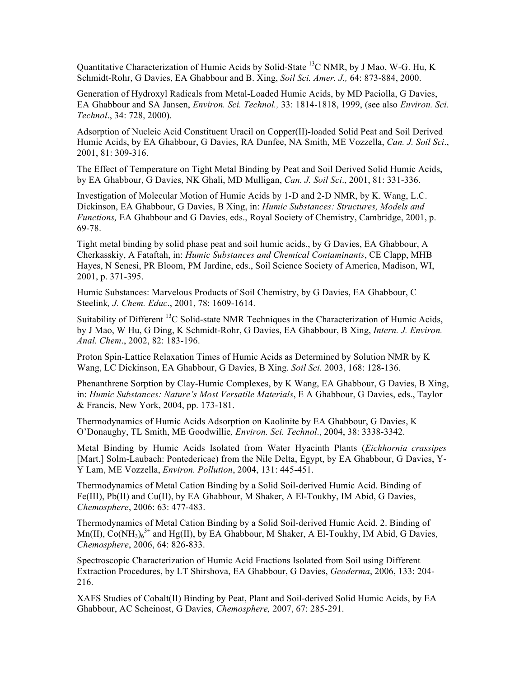Quantitative Characterization of Humic Acids by Solid-State 13C NMR, by J Mao, W-G. Hu, K Schmidt-Rohr, G Davies, EA Ghabbour and B. Xing, *Soil Sci. Amer. J.,* 64: 873-884, 2000.

Generation of Hydroxyl Radicals from Metal-Loaded Humic Acids, by MD Paciolla, G Davies, EA Ghabbour and SA Jansen, *Environ. Sci. Technol.,* 33: 1814-1818, 1999, (see also *Environ. Sci. Technol*., 34: 728, 2000).

Adsorption of Nucleic Acid Constituent Uracil on Copper(II)-loaded Solid Peat and Soil Derived Humic Acids, by EA Ghabbour, G Davies, RA Dunfee, NA Smith, ME Vozzella, *Can. J. Soil Sci*., 2001, 81: 309-316.

The Effect of Temperature on Tight Metal Binding by Peat and Soil Derived Solid Humic Acids, by EA Ghabbour, G Davies, NK Ghali, MD Mulligan, *Can. J. Soil Sci*., 2001, 81: 331-336.

Investigation of Molecular Motion of Humic Acids by 1-D and 2-D NMR, by K. Wang, L.C. Dickinson, EA Ghabbour, G Davies, B Xing, in: *Humic Substances: Structures, Models and Functions,* EA Ghabbour and G Davies, eds., Royal Society of Chemistry, Cambridge, 2001, p. 69-78.

Tight metal binding by solid phase peat and soil humic acids., by G Davies, EA Ghabbour, A Cherkasskiy, A Fataftah, in: *Humic Substances and Chemical Contaminants*, CE Clapp, MHB Hayes, N Senesi, PR Bloom, PM Jardine, eds., Soil Science Society of America, Madison, WI, 2001, p. 371-395.

Humic Substances: Marvelous Products of Soil Chemistry, by G Davies, EA Ghabbour, C Steelink*, J. Chem. Educ*., 2001, 78: 1609-1614.

Suitability of Different <sup>13</sup>C Solid-state NMR Techniques in the Characterization of Humic Acids, by J Mao, W Hu, G Ding, K Schmidt-Rohr, G Davies, EA Ghabbour, B Xing, *Intern. J. Environ. Anal. Chem*., 2002, 82: 183-196.

Proton Spin-Lattice Relaxation Times of Humic Acids as Determined by Solution NMR by K Wang, LC Dickinson, EA Ghabbour, G Davies, B Xing*. Soil Sci.* 2003, 168: 128-136.

Phenanthrene Sorption by Clay-Humic Complexes, by K Wang, EA Ghabbour, G Davies, B Xing, in: *Humic Substances: Nature's Most Versatile Materials*, E A Ghabbour, G Davies, eds., Taylor & Francis, New York, 2004, pp. 173-181.

Thermodynamics of Humic Acids Adsorption on Kaolinite by EA Ghabbour, G Davies, K O'Donaughy, TL Smith, ME Goodwillie*, Environ. Sci. Technol*., 2004, 38: 3338-3342.

Metal Binding by Humic Acids Isolated from Water Hyacinth Plants (*Eichhornia crassipes* [Mart.] Solm-Laubach: Pontedericae) from the Nile Delta, Egypt, by EA Ghabbour, G Davies, Y-Y Lam, ME Vozzella, *Environ. Pollution*, 2004, 131: 445-451.

Thermodynamics of Metal Cation Binding by a Solid Soil-derived Humic Acid. Binding of Fe(III), Pb(II) and Cu(II), by EA Ghabbour, M Shaker, A El-Toukhy, IM Abid, G Davies, *Chemosphere*, 2006: 63: 477-483.

Thermodynamics of Metal Cation Binding by a Solid Soil-derived Humic Acid. 2. Binding of  $Mn(II)$ ,  $Co(NH<sub>3</sub>)<sub>6</sub><sup>3+</sup>$  and Hg(II), by EA Ghabbour, M Shaker, A El-Toukhy, IM Abid, G Davies, *Chemosphere*, 2006, 64: 826-833.

Spectroscopic Characterization of Humic Acid Fractions Isolated from Soil using Different Extraction Procedures, by LT Shirshova, EA Ghabbour, G Davies, *Geoderma*, 2006, 133: 204- 216.

XAFS Studies of Cobalt(II) Binding by Peat, Plant and Soil-derived Solid Humic Acids, by EA Ghabbour, AC Scheinost, G Davies, *Chemosphere,* 2007, 67: 285-291.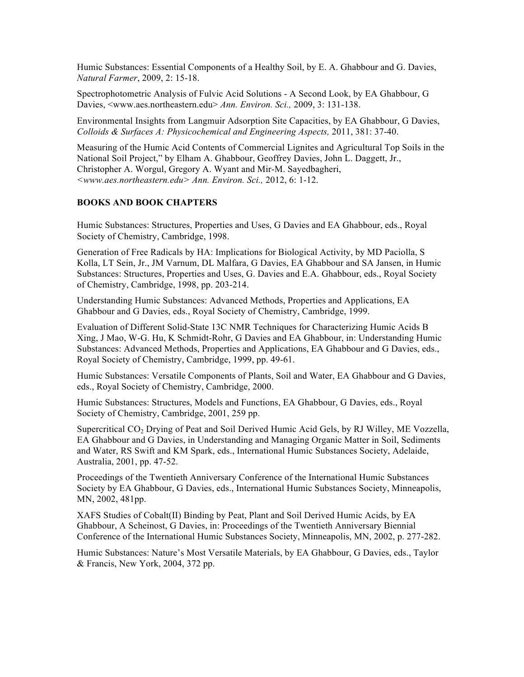Humic Substances: Essential Components of a Healthy Soil, by E. A. Ghabbour and G. Davies, *Natural Farmer*, 2009, 2: 15-18.

Spectrophotometric Analysis of Fulvic Acid Solutions - A Second Look, by EA Ghabbour, G Davies, <www.aes.northeastern.edu> *Ann. Environ. Sci.,* 2009, 3: 131-138.

Environmental Insights from Langmuir Adsorption Site Capacities, by EA Ghabbour, G Davies, *Colloids & Surfaces A: Physicochemical and Engineering Aspects,* 2011, 381: 37-40.

Measuring of the Humic Acid Contents of Commercial Lignites and Agricultural Top Soils in the National Soil Project," by Elham A. Ghabbour, Geoffrey Davies, John L. Daggett, Jr., Christopher A. Worgul, Gregory A. Wyant and Mir-M. Sayedbagheri, *<www.aes.northeastern.edu> Ann. Environ. Sci.,* 2012, 6: 1-12.

## **BOOKS AND BOOK CHAPTERS**

Humic Substances: Structures, Properties and Uses, G Davies and EA Ghabbour, eds., Royal Society of Chemistry, Cambridge, 1998.

Generation of Free Radicals by HA: Implications for Biological Activity, by MD Paciolla, S Kolla, LT Sein, Jr., JM Varnum, DL Malfara, G Davies, EA Ghabbour and SA Jansen, in Humic Substances: Structures, Properties and Uses, G. Davies and E.A. Ghabbour, eds., Royal Society of Chemistry, Cambridge, 1998, pp. 203-214.

Understanding Humic Substances: Advanced Methods, Properties and Applications, EA Ghabbour and G Davies, eds., Royal Society of Chemistry, Cambridge, 1999.

Evaluation of Different Solid-State 13C NMR Techniques for Characterizing Humic Acids B Xing, J Mao, W-G. Hu, K Schmidt-Rohr, G Davies and EA Ghabbour, in: Understanding Humic Substances: Advanced Methods, Properties and Applications, EA Ghabbour and G Davies, eds., Royal Society of Chemistry, Cambridge, 1999, pp. 49-61.

Humic Substances: Versatile Components of Plants, Soil and Water, EA Ghabbour and G Davies, eds., Royal Society of Chemistry, Cambridge, 2000.

Humic Substances: Structures, Models and Functions, EA Ghabbour, G Davies, eds., Royal Society of Chemistry, Cambridge, 2001, 259 pp.

Supercritical CO<sub>2</sub> Drying of Peat and Soil Derived Humic Acid Gels, by RJ Willey, ME Vozzella, EA Ghabbour and G Davies, in Understanding and Managing Organic Matter in Soil, Sediments and Water, RS Swift and KM Spark, eds., International Humic Substances Society, Adelaide, Australia, 2001, pp. 47-52.

Proceedings of the Twentieth Anniversary Conference of the International Humic Substances Society by EA Ghabbour, G Davies, eds., International Humic Substances Society, Minneapolis, MN, 2002, 481pp.

XAFS Studies of Cobalt(II) Binding by Peat, Plant and Soil Derived Humic Acids, by EA Ghabbour, A Scheinost, G Davies, in: Proceedings of the Twentieth Anniversary Biennial Conference of the International Humic Substances Society, Minneapolis, MN, 2002, p. 277-282.

Humic Substances: Nature's Most Versatile Materials, by EA Ghabbour, G Davies, eds., Taylor & Francis, New York, 2004, 372 pp.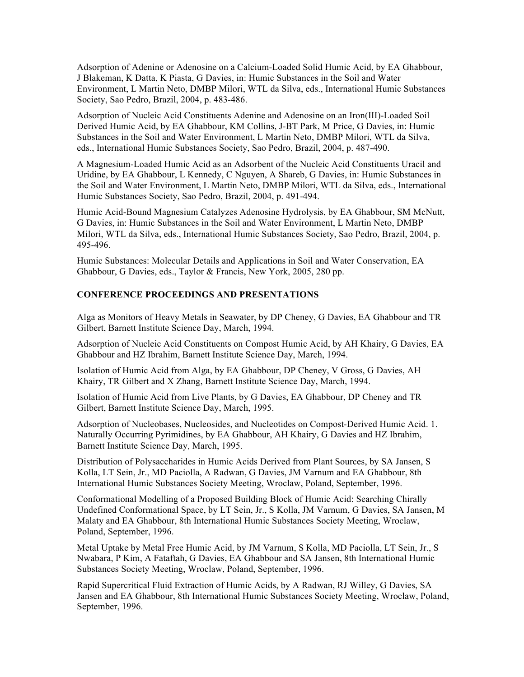Adsorption of Adenine or Adenosine on a Calcium-Loaded Solid Humic Acid, by EA Ghabbour, J Blakeman, K Datta, K Piasta, G Davies, in: Humic Substances in the Soil and Water Environment, L Martin Neto, DMBP Milori, WTL da Silva, eds., International Humic Substances Society, Sao Pedro, Brazil, 2004, p. 483-486.

Adsorption of Nucleic Acid Constituents Adenine and Adenosine on an Iron(III)-Loaded Soil Derived Humic Acid, by EA Ghabbour, KM Collins, J-BT Park, M Price, G Davies, in: Humic Substances in the Soil and Water Environment, L Martin Neto, DMBP Milori, WTL da Silva, eds., International Humic Substances Society, Sao Pedro, Brazil, 2004, p. 487-490.

A Magnesium-Loaded Humic Acid as an Adsorbent of the Nucleic Acid Constituents Uracil and Uridine, by EA Ghabbour, L Kennedy, C Nguyen, A Shareb, G Davies, in: Humic Substances in the Soil and Water Environment, L Martin Neto, DMBP Milori, WTL da Silva, eds., International Humic Substances Society, Sao Pedro, Brazil, 2004, p. 491-494.

Humic Acid-Bound Magnesium Catalyzes Adenosine Hydrolysis, by EA Ghabbour, SM McNutt, G Davies, in: Humic Substances in the Soil and Water Environment, L Martin Neto, DMBP Milori, WTL da Silva, eds., International Humic Substances Society, Sao Pedro, Brazil, 2004, p. 495-496.

Humic Substances: Molecular Details and Applications in Soil and Water Conservation, EA Ghabbour, G Davies, eds., Taylor & Francis, New York, 2005, 280 pp.

## **CONFERENCE PROCEEDINGS AND PRESENTATIONS**

Alga as Monitors of Heavy Metals in Seawater, by DP Cheney, G Davies, EA Ghabbour and TR Gilbert, Barnett Institute Science Day, March, 1994.

Adsorption of Nucleic Acid Constituents on Compost Humic Acid, by AH Khairy, G Davies, EA Ghabbour and HZ Ibrahim, Barnett Institute Science Day, March, 1994.

Isolation of Humic Acid from Alga, by EA Ghabbour, DP Cheney, V Gross, G Davies, AH Khairy, TR Gilbert and X Zhang, Barnett Institute Science Day, March, 1994.

Isolation of Humic Acid from Live Plants, by G Davies, EA Ghabbour, DP Cheney and TR Gilbert, Barnett Institute Science Day, March, 1995.

Adsorption of Nucleobases, Nucleosides, and Nucleotides on Compost-Derived Humic Acid. 1. Naturally Occurring Pyrimidines, by EA Ghabbour, AH Khairy, G Davies and HZ Ibrahim, Barnett Institute Science Day, March, 1995.

Distribution of Polysaccharides in Humic Acids Derived from Plant Sources, by SA Jansen, S Kolla, LT Sein, Jr., MD Paciolla, A Radwan, G Davies, JM Varnum and EA Ghabbour, 8th International Humic Substances Society Meeting, Wroclaw, Poland, September, 1996.

Conformational Modelling of a Proposed Building Block of Humic Acid: Searching Chirally Undefined Conformational Space, by LT Sein, Jr., S Kolla, JM Varnum, G Davies, SA Jansen, M Malaty and EA Ghabbour, 8th International Humic Substances Society Meeting, Wroclaw, Poland, September, 1996.

Metal Uptake by Metal Free Humic Acid, by JM Varnum, S Kolla, MD Paciolla, LT Sein, Jr., S Nwabara, P Kim, A Fataftah, G Davies, EA Ghabbour and SA Jansen, 8th International Humic Substances Society Meeting, Wroclaw, Poland, September, 1996.

Rapid Supercritical Fluid Extraction of Humic Acids, by A Radwan, RJ Willey, G Davies, SA Jansen and EA Ghabbour, 8th International Humic Substances Society Meeting, Wroclaw, Poland, September, 1996.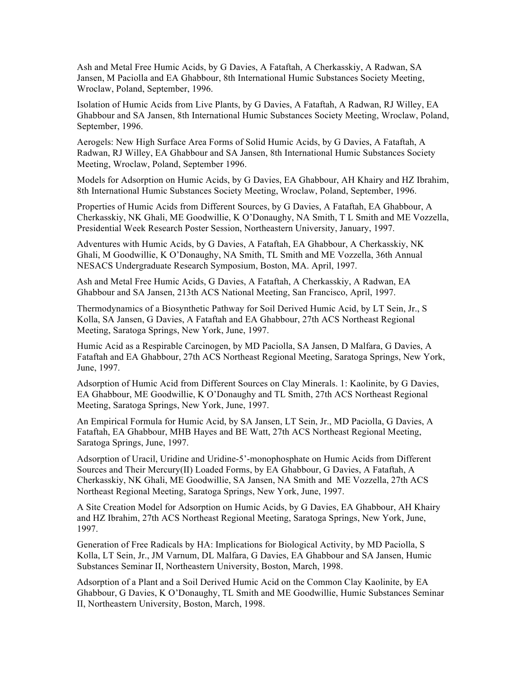Ash and Metal Free Humic Acids, by G Davies, A Fataftah, A Cherkasskiy, A Radwan, SA Jansen, M Paciolla and EA Ghabbour, 8th International Humic Substances Society Meeting, Wroclaw, Poland, September, 1996.

Isolation of Humic Acids from Live Plants, by G Davies, A Fataftah, A Radwan, RJ Willey, EA Ghabbour and SA Jansen, 8th International Humic Substances Society Meeting, Wroclaw, Poland, September, 1996.

Aerogels: New High Surface Area Forms of Solid Humic Acids, by G Davies, A Fataftah, A Radwan, RJ Willey, EA Ghabbour and SA Jansen, 8th International Humic Substances Society Meeting, Wroclaw, Poland, September 1996.

Models for Adsorption on Humic Acids, by G Davies, EA Ghabbour, AH Khairy and HZ Ibrahim, 8th International Humic Substances Society Meeting, Wroclaw, Poland, September, 1996.

Properties of Humic Acids from Different Sources, by G Davies, A Fataftah, EA Ghabbour, A Cherkasskiy, NK Ghali, ME Goodwillie, K O'Donaughy, NA Smith, T L Smith and ME Vozzella, Presidential Week Research Poster Session, Northeastern University, January, 1997.

Adventures with Humic Acids, by G Davies, A Fataftah, EA Ghabbour, A Cherkasskiy, NK Ghali, M Goodwillie, K O'Donaughy, NA Smith, TL Smith and ME Vozzella, 36th Annual NESACS Undergraduate Research Symposium, Boston, MA. April, 1997.

Ash and Metal Free Humic Acids, G Davies, A Fataftah, A Cherkasskiy, A Radwan, EA Ghabbour and SA Jansen, 213th ACS National Meeting, San Francisco, April, 1997.

Thermodynamics of a Biosynthetic Pathway for Soil Derived Humic Acid, by LT Sein, Jr., S Kolla, SA Jansen, G Davies, A Fataftah and EA Ghabbour, 27th ACS Northeast Regional Meeting, Saratoga Springs, New York, June, 1997.

Humic Acid as a Respirable Carcinogen, by MD Paciolla, SA Jansen, D Malfara, G Davies, A Fataftah and EA Ghabbour, 27th ACS Northeast Regional Meeting, Saratoga Springs, New York, June, 1997.

Adsorption of Humic Acid from Different Sources on Clay Minerals. 1: Kaolinite, by G Davies, EA Ghabbour, ME Goodwillie, K O'Donaughy and TL Smith, 27th ACS Northeast Regional Meeting, Saratoga Springs, New York, June, 1997.

An Empirical Formula for Humic Acid, by SA Jansen, LT Sein, Jr., MD Paciolla, G Davies, A Fataftah, EA Ghabbour, MHB Hayes and BE Watt, 27th ACS Northeast Regional Meeting, Saratoga Springs, June, 1997.

Adsorption of Uracil, Uridine and Uridine-5'-monophosphate on Humic Acids from Different Sources and Their Mercury(II) Loaded Forms, by EA Ghabbour, G Davies, A Fataftah, A Cherkasskiy, NK Ghali, ME Goodwillie, SA Jansen, NA Smith and ME Vozzella, 27th ACS Northeast Regional Meeting, Saratoga Springs, New York, June, 1997.

A Site Creation Model for Adsorption on Humic Acids, by G Davies, EA Ghabbour, AH Khairy and HZ Ibrahim, 27th ACS Northeast Regional Meeting, Saratoga Springs, New York, June, 1997.

Generation of Free Radicals by HA: Implications for Biological Activity, by MD Paciolla, S Kolla, LT Sein, Jr., JM Varnum, DL Malfara, G Davies, EA Ghabbour and SA Jansen, Humic Substances Seminar II, Northeastern University, Boston, March, 1998.

Adsorption of a Plant and a Soil Derived Humic Acid on the Common Clay Kaolinite, by EA Ghabbour, G Davies, K O'Donaughy, TL Smith and ME Goodwillie, Humic Substances Seminar II, Northeastern University, Boston, March, 1998.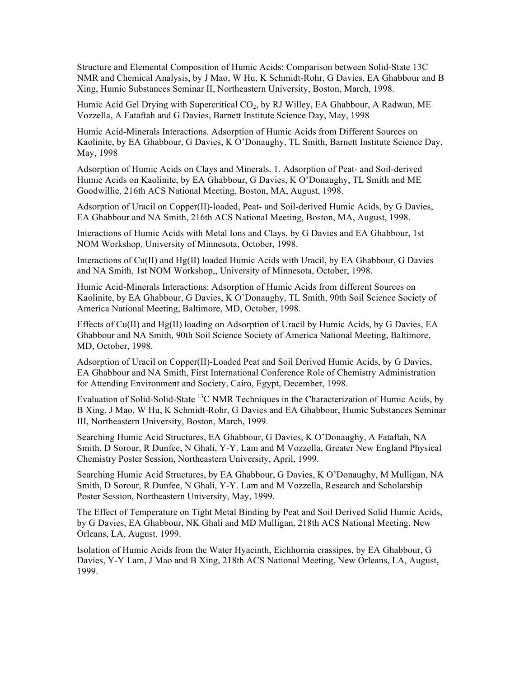Structure and Elemental Composition of Humic Acids: Comparison between Solid-State 13C NMR and Chemical Analysis, by J Mao, W Hu, K Schmidt-Rohr, G Davies, EA Ghabbour and B Xing, Humic Substances Seminar II, Northeastern University, Boston, March, 1998.

Humic Acid Gel Drying with Supercritical  $CO<sub>2</sub>$ , by RJ Willey, EA Ghabbour, A Radwan, ME Vozzella, A Fataftah and G Davies, Barnett Institute Science Day, May, 1998

Humic Acid-Minerals Interactions. Adsorption of Humic Acids from Different Sources on Kaolinite, by EA Ghabbour, G Davies, K O'Donaughy, TL Smith, Barnett Institute Science Day, May, 1998

Adsorption of Humic Acids on Clays and Minerals. 1. Adsorption of Peat- and Soil-derived Humic Acids on Kaolinite, by EA Ghabbour, G Davies, K O'Donaughy, TL Smith and ME Goodwillie, 216th ACS National Meeting, Boston, MA, August, 1998.

Adsorption of Uracil on Copper(II)-loaded, Peat- and Soil-derived Humic Acids, by G Davies, EA Ghabbour and NA Smith, 216th ACS National Meeting, Boston, MA, August, 1998.

Interactions of Humic Acids with Metal Ions and Clays, by G Davies and EA Ghabbour, 1st NOM Workshop, University of Minnesota, October, 1998.

Interactions of Cu(II) and Hg(II) loaded Humic Acids with Uracil, by EA Ghabbour, G Davies and NA Smith, 1st NOM Workshop,, University of Minnesota, October, 1998.

Humic Acid-Minerals Interactions: Adsorption of Humic Acids from different Sources on Kaolinite, by EA Ghabbour, G Davies, K O'Donaughy, TL Smith, 90th Soil Science Society of America National Meeting, Baltimore, MD, October, 1998.

Effects of Cu(II) and Hg(II) loading on Adsorption of Uracil by Humic Acids, by G Davies, EA Ghabbour and NA Smith, 90th Soil Science Society of America National Meeting, Baltimore, MD, October, 1998.

Adsorption of Uracil on Copper(II)-Loaded Peat and Soil Derived Humic Acids, by G Davies, EA Ghabbour and NA Smith, First International Conference Role of Chemistry Administration for Attending Environment and Society, Cairo, Egypt, December, 1998.

Evaluation of Solid-Solid-State <sup>13</sup>C NMR Techniques in the Characterization of Humic Acids, by B Xing, J Mao, W Hu, K Schmidt-Rohr, G Davies and EA Ghabbour, Humic Substances Seminar III, Northeastern University, Boston, March, 1999.

Searching Humic Acid Structures, EA Ghabbour, G Davies, K O'Donaughy, A Fataftah, NA Smith, D Sorour, R Dunfee, N Ghali, Y-Y. Lam and M Vozzella, Greater New England Physical Chemistry Poster Session, Northeastern University, April, 1999.

Searching Humic Acid Structures, by EA Ghabbour, G Davies, K O'Donaughy, M Mulligan, NA Smith, D Sorour, R Dunfee, N Ghali, Y-Y. Lam and M Vozzella, Research and Scholarship Poster Session, Northeastern University, May, 1999.

The Effect of Temperature on Tight Metal Binding by Peat and Soil Derived Solid Humic Acids, by G Davies, EA Ghabbour, NK Ghali and MD Mulligan, 218th ACS National Meeting, New Orleans, LA, August, 1999.

Isolation of Humic Acids from the Water Hyacinth, Eichhornia crassipes, by EA Ghabbour, G Davies, Y-Y Lam, J Mao and B Xing, 218th ACS National Meeting, New Orleans, LA, August, 1999.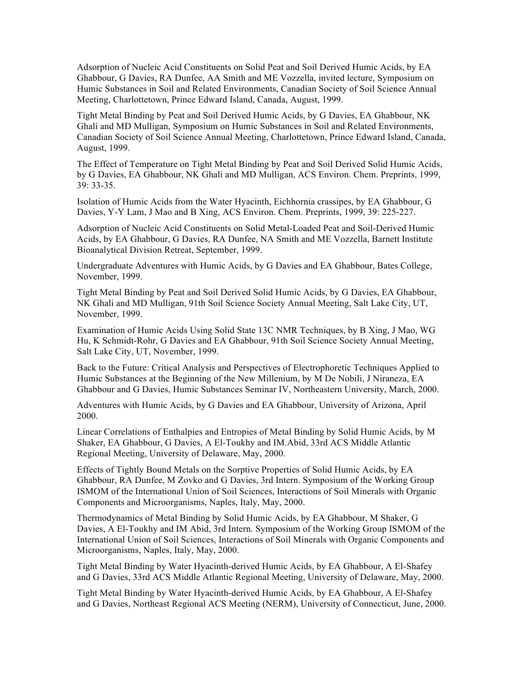Adsorption of Nucleic Acid Constituents on Solid Peat and Soil Derived Humic Acids, by EA Ghabbour, G Davies, RA Dunfee, AA Smith and ME Vozzella, invited lecture, Symposium on Humic Substances in Soil and Related Environments, Canadian Society of Soil Science Annual Meeting, Charlottetown, Prince Edward Island, Canada, August, 1999.

Tight Metal Binding by Peat and Soil Derived Humic Acids, by G Davies, EA Ghabbour, NK Ghali and MD Mulligan, Symposium on Humic Substances in Soil and Related Environments, Canadian Society of Soil Science Annual Meeting, Charlottetown, Prince Edward Island, Canada, August, 1999.

The Effect of Temperature on Tight Metal Binding by Peat and Soil Derived Solid Humic Acids, by G Davies, EA Ghabbour, NK Ghali and MD Mulligan, ACS Environ. Chem. Preprints, 1999, 39: 33-35.

Isolation of Humic Acids from the Water Hyacinth, Eichhornia crassipes, by EA Ghabbour, G Davies, Y-Y Lam, J Mao and B Xing, ACS Environ. Chem. Preprints, 1999, 39: 225-227.

Adsorption of Nucleic Acid Constituents on Solid Metal-Loaded Peat and Soil-Derived Humic Acids, by EA Ghabbour, G Davies, RA Dunfee, NA Smith and ME Vozzella, Barnett Institute Bioanalytical Division Retreat, September, 1999.

Undergraduate Adventures with Humic Acids, by G Davies and EA Ghabbour, Bates College, November, 1999.

Tight Metal Binding by Peat and Soil Derived Solid Humic Acids, by G Davies, EA Ghabbour, NK Ghali and MD Mulligan, 91th Soil Science Society Annual Meeting, Salt Lake City, UT, November, 1999.

Examination of Humic Acids Using Solid State 13C NMR Techniques, by B Xing, J Mao, WG Hu, K Schmidt-Rohr, G Davies and EA Ghabbour, 91th Soil Science Society Annual Meeting, Salt Lake City, UT, November, 1999.

Back to the Future: Critical Analysis and Perspectives of Electrophoretic Techniques Applied to Humic Substances at the Beginning of the New Millenium, by M De Nobili, J Niraneza, EA Ghabbour and G Davies, Humic Substances Seminar IV, Northeastern University, March, 2000.

Adventures with Humic Acids, by G Davies and EA Ghabbour, University of Arizona, April 2000.

Linear Correlations of Enthalpies and Entropies of Metal Binding by Solid Humic Acids, by M Shaker, EA Ghabbour, G Davies, A El-Toukhy and IM.Abid, 33rd ACS Middle Atlantic Regional Meeting, University of Delaware, May, 2000.

Effects of Tightly Bound Metals on the Sorptive Properties of Solid Humic Acids, by EA Ghabbour, RA Dunfee, M Zovko and G Davies, 3rd Intern. Symposium of the Working Group ISMOM of the International Union of Soil Sciences, Interactions of Soil Minerals with Organic Components and Microorganisms, Naples, Italy, May, 2000.

Thermodynamics of Metal Binding by Solid Humic Acids, by EA Ghabbour, M Shaker, G Davies, A El-Toukhy and IM Abid, 3rd Intern. Symposium of the Working Group ISMOM of the International Union of Soil Sciences, Interactions of Soil Minerals with Organic Components and Microorganisms, Naples, Italy, May, 2000.

Tight Metal Binding by Water Hyacinth-derived Humic Acids, by EA Ghabbour, A El-Shafey and G Davies, 33rd ACS Middle Atlantic Regional Meeting, University of Delaware, May, 2000.

Tight Metal Binding by Water Hyacinth-derived Humic Acids, by EA Ghabbour, A El-Shafey and G Davies, Northeast Regional ACS Meeting (NERM), University of Connecticut, June, 2000.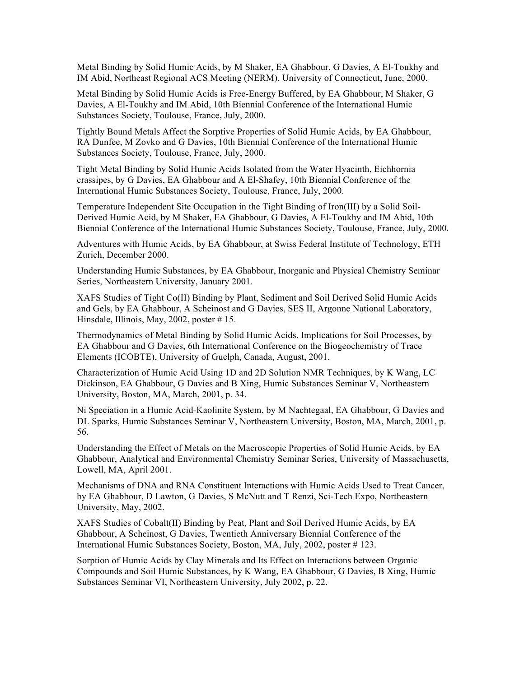Metal Binding by Solid Humic Acids, by M Shaker, EA Ghabbour, G Davies, A El-Toukhy and IM Abid, Northeast Regional ACS Meeting (NERM), University of Connecticut, June, 2000.

Metal Binding by Solid Humic Acids is Free-Energy Buffered, by EA Ghabbour, M Shaker, G Davies, A El-Toukhy and IM Abid, 10th Biennial Conference of the International Humic Substances Society, Toulouse, France, July, 2000.

Tightly Bound Metals Affect the Sorptive Properties of Solid Humic Acids, by EA Ghabbour, RA Dunfee, M Zovko and G Davies, 10th Biennial Conference of the International Humic Substances Society, Toulouse, France, July, 2000.

Tight Metal Binding by Solid Humic Acids Isolated from the Water Hyacinth, Eichhornia crassipes, by G Davies, EA Ghabbour and A El-Shafey, 10th Biennial Conference of the International Humic Substances Society, Toulouse, France, July, 2000.

Temperature Independent Site Occupation in the Tight Binding of Iron(III) by a Solid Soil-Derived Humic Acid, by M Shaker, EA Ghabbour, G Davies, A El-Toukhy and IM Abid, 10th Biennial Conference of the International Humic Substances Society, Toulouse, France, July, 2000.

Adventures with Humic Acids, by EA Ghabbour, at Swiss Federal Institute of Technology, ETH Zurich, December 2000.

Understanding Humic Substances, by EA Ghabbour, Inorganic and Physical Chemistry Seminar Series, Northeastern University, January 2001.

XAFS Studies of Tight Co(II) Binding by Plant, Sediment and Soil Derived Solid Humic Acids and Gels, by EA Ghabbour, A Scheinost and G Davies, SES II, Argonne National Laboratory, Hinsdale, Illinois, May, 2002, poster  $# 15$ .

Thermodynamics of Metal Binding by Solid Humic Acids. Implications for Soil Processes, by EA Ghabbour and G Davies, 6th International Conference on the Biogeochemistry of Trace Elements (ICOBTE), University of Guelph, Canada, August, 2001.

Characterization of Humic Acid Using 1D and 2D Solution NMR Techniques, by K Wang, LC Dickinson, EA Ghabbour, G Davies and B Xing, Humic Substances Seminar V, Northeastern University, Boston, MA, March, 2001, p. 34.

Ni Speciation in a Humic Acid-Kaolinite System, by M Nachtegaal, EA Ghabbour, G Davies and DL Sparks, Humic Substances Seminar V, Northeastern University, Boston, MA, March, 2001, p. 56.

Understanding the Effect of Metals on the Macroscopic Properties of Solid Humic Acids, by EA Ghabbour, Analytical and Environmental Chemistry Seminar Series, University of Massachusetts, Lowell, MA, April 2001.

Mechanisms of DNA and RNA Constituent Interactions with Humic Acids Used to Treat Cancer, by EA Ghabbour, D Lawton, G Davies, S McNutt and T Renzi, Sci-Tech Expo, Northeastern University, May, 2002.

XAFS Studies of Cobalt(II) Binding by Peat, Plant and Soil Derived Humic Acids, by EA Ghabbour, A Scheinost, G Davies, Twentieth Anniversary Biennial Conference of the International Humic Substances Society, Boston, MA, July, 2002, poster # 123.

Sorption of Humic Acids by Clay Minerals and Its Effect on Interactions between Organic Compounds and Soil Humic Substances, by K Wang, EA Ghabbour, G Davies, B Xing, Humic Substances Seminar VI, Northeastern University, July 2002, p. 22.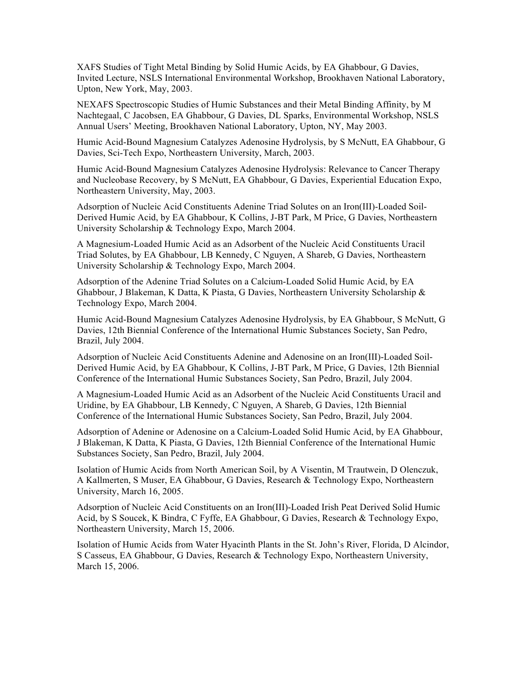XAFS Studies of Tight Metal Binding by Solid Humic Acids, by EA Ghabbour, G Davies, Invited Lecture, NSLS International Environmental Workshop, Brookhaven National Laboratory, Upton, New York, May, 2003.

NEXAFS Spectroscopic Studies of Humic Substances and their Metal Binding Affinity, by M Nachtegaal, C Jacobsen, EA Ghabbour, G Davies, DL Sparks, Environmental Workshop, NSLS Annual Users' Meeting, Brookhaven National Laboratory, Upton, NY, May 2003.

Humic Acid-Bound Magnesium Catalyzes Adenosine Hydrolysis, by S McNutt, EA Ghabbour, G Davies, Sci-Tech Expo, Northeastern University, March, 2003.

Humic Acid-Bound Magnesium Catalyzes Adenosine Hydrolysis: Relevance to Cancer Therapy and Nucleobase Recovery, by S McNutt, EA Ghabbour, G Davies, Experiential Education Expo, Northeastern University, May, 2003.

Adsorption of Nucleic Acid Constituents Adenine Triad Solutes on an Iron(III)-Loaded Soil-Derived Humic Acid, by EA Ghabbour, K Collins, J-BT Park, M Price, G Davies, Northeastern University Scholarship & Technology Expo, March 2004.

A Magnesium-Loaded Humic Acid as an Adsorbent of the Nucleic Acid Constituents Uracil Triad Solutes, by EA Ghabbour, LB Kennedy, C Nguyen, A Shareb, G Davies, Northeastern University Scholarship & Technology Expo, March 2004.

Adsorption of the Adenine Triad Solutes on a Calcium-Loaded Solid Humic Acid, by EA Ghabbour, J Blakeman, K Datta, K Piasta, G Davies, Northeastern University Scholarship & Technology Expo, March 2004.

Humic Acid-Bound Magnesium Catalyzes Adenosine Hydrolysis, by EA Ghabbour, S McNutt, G Davies, 12th Biennial Conference of the International Humic Substances Society, San Pedro, Brazil, July 2004.

Adsorption of Nucleic Acid Constituents Adenine and Adenosine on an Iron(III)-Loaded Soil-Derived Humic Acid, by EA Ghabbour, K Collins, J-BT Park, M Price, G Davies, 12th Biennial Conference of the International Humic Substances Society, San Pedro, Brazil, July 2004.

A Magnesium-Loaded Humic Acid as an Adsorbent of the Nucleic Acid Constituents Uracil and Uridine, by EA Ghabbour, LB Kennedy, C Nguyen, A Shareb, G Davies, 12th Biennial Conference of the International Humic Substances Society, San Pedro, Brazil, July 2004.

Adsorption of Adenine or Adenosine on a Calcium-Loaded Solid Humic Acid, by EA Ghabbour, J Blakeman, K Datta, K Piasta, G Davies, 12th Biennial Conference of the International Humic Substances Society, San Pedro, Brazil, July 2004.

Isolation of Humic Acids from North American Soil, by A Visentin, M Trautwein, D Olenczuk, A Kallmerten, S Muser, EA Ghabbour, G Davies, Research & Technology Expo, Northeastern University, March 16, 2005.

Adsorption of Nucleic Acid Constituents on an Iron(III)-Loaded Irish Peat Derived Solid Humic Acid, by S Soucek, K Bindra, C Fyffe, EA Ghabbour, G Davies, Research & Technology Expo, Northeastern University, March 15, 2006.

Isolation of Humic Acids from Water Hyacinth Plants in the St. John's River, Florida, D Alcindor, S Casseus, EA Ghabbour, G Davies, Research & Technology Expo, Northeastern University, March 15, 2006.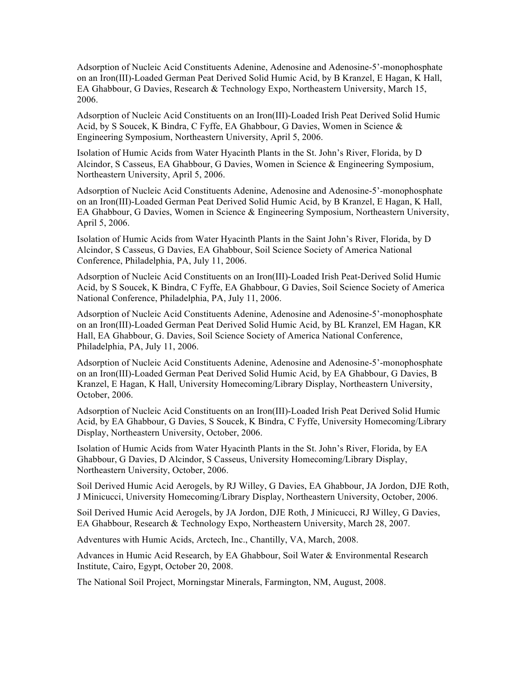Adsorption of Nucleic Acid Constituents Adenine, Adenosine and Adenosine-5'-monophosphate on an Iron(III)-Loaded German Peat Derived Solid Humic Acid, by B Kranzel, E Hagan, K Hall, EA Ghabbour, G Davies, Research & Technology Expo, Northeastern University, March 15, 2006.

Adsorption of Nucleic Acid Constituents on an Iron(III)-Loaded Irish Peat Derived Solid Humic Acid, by S Soucek, K Bindra, C Fyffe, EA Ghabbour, G Davies, Women in Science & Engineering Symposium, Northeastern University, April 5, 2006.

Isolation of Humic Acids from Water Hyacinth Plants in the St. John's River, Florida, by D Alcindor, S Casseus, EA Ghabbour, G Davies, Women in Science & Engineering Symposium, Northeastern University, April 5, 2006.

Adsorption of Nucleic Acid Constituents Adenine, Adenosine and Adenosine-5'-monophosphate on an Iron(III)-Loaded German Peat Derived Solid Humic Acid, by B Kranzel, E Hagan, K Hall, EA Ghabbour, G Davies, Women in Science & Engineering Symposium, Northeastern University, April 5, 2006.

Isolation of Humic Acids from Water Hyacinth Plants in the Saint John's River, Florida, by D Alcindor, S Casseus, G Davies, EA Ghabbour, Soil Science Society of America National Conference, Philadelphia, PA, July 11, 2006.

Adsorption of Nucleic Acid Constituents on an Iron(III)-Loaded Irish Peat-Derived Solid Humic Acid, by S Soucek, K Bindra, C Fyffe, EA Ghabbour, G Davies, Soil Science Society of America National Conference, Philadelphia, PA, July 11, 2006.

Adsorption of Nucleic Acid Constituents Adenine, Adenosine and Adenosine-5'-monophosphate on an Iron(III)-Loaded German Peat Derived Solid Humic Acid, by BL Kranzel, EM Hagan, KR Hall, EA Ghabbour, G. Davies, Soil Science Society of America National Conference, Philadelphia, PA, July 11, 2006.

Adsorption of Nucleic Acid Constituents Adenine, Adenosine and Adenosine-5'-monophosphate on an Iron(III)-Loaded German Peat Derived Solid Humic Acid, by EA Ghabbour, G Davies, B Kranzel, E Hagan, K Hall, University Homecoming/Library Display, Northeastern University, October, 2006.

Adsorption of Nucleic Acid Constituents on an Iron(III)-Loaded Irish Peat Derived Solid Humic Acid, by EA Ghabbour, G Davies, S Soucek, K Bindra, C Fyffe, University Homecoming/Library Display, Northeastern University, October, 2006.

Isolation of Humic Acids from Water Hyacinth Plants in the St. John's River, Florida, by EA Ghabbour, G Davies, D Alcindor, S Casseus, University Homecoming/Library Display, Northeastern University, October, 2006.

Soil Derived Humic Acid Aerogels, by RJ Willey, G Davies, EA Ghabbour, JA Jordon, DJE Roth, J Minicucci, University Homecoming/Library Display, Northeastern University, October, 2006.

Soil Derived Humic Acid Aerogels, by JA Jordon, DJE Roth, J Minicucci, RJ Willey, G Davies, EA Ghabbour, Research & Technology Expo, Northeastern University, March 28, 2007.

Adventures with Humic Acids, Arctech, Inc., Chantilly, VA, March, 2008.

Advances in Humic Acid Research, by EA Ghabbour, Soil Water & Environmental Research Institute, Cairo, Egypt, October 20, 2008.

The National Soil Project, Morningstar Minerals, Farmington, NM, August, 2008.